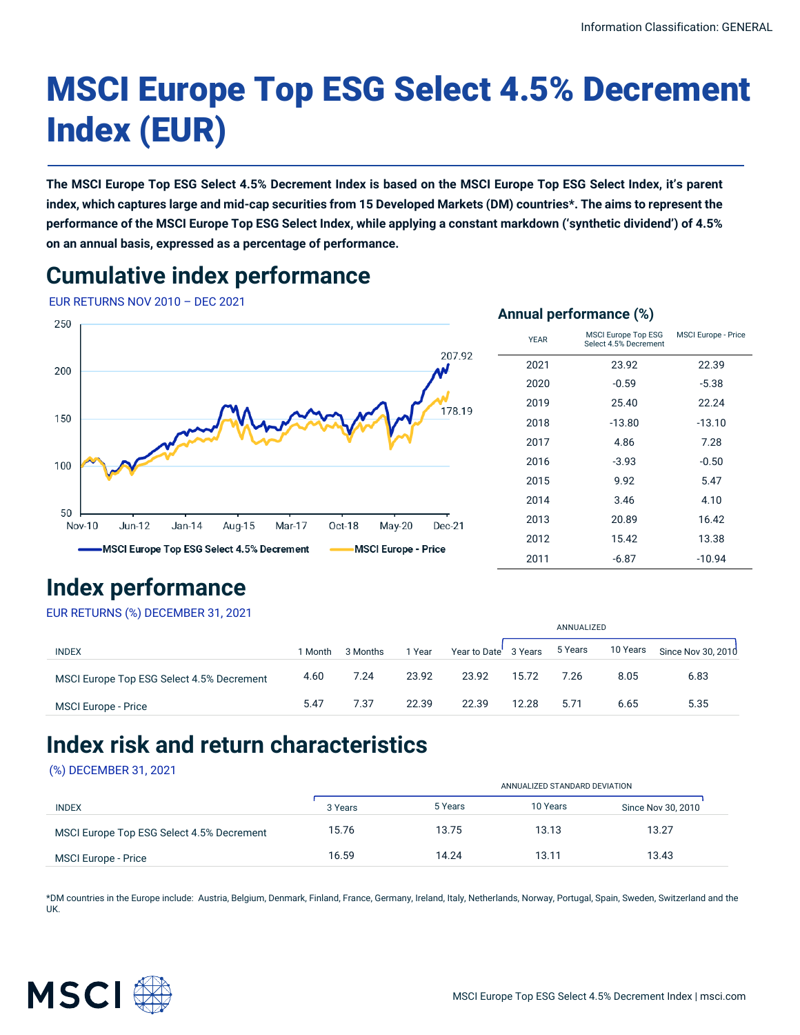# MSCI Europe Top ESG Select 4.5% Decrement Index (EUR)

**The MSCI Europe Top ESG Select 4.5% Decrement Index is based on the MSCI Europe Top ESG Select Index, it's parent index, which captures large and mid-cap securities from 15 Developed Markets (DM) countries\*. The aims to represent the performance of the MSCI Europe Top ESG Select Index, while applying a constant markdown ('synthetic dividend') of 4.5% on an annual basis, expressed as a percentage of performance.**

# **Cumulative index performance**

EUR RETURNS NOV 2010 – DEC 2021



# **Index performance**

EUR RETURNS (%) DECEMBER 31, 2021

|                                           |         |          |        |                       |       | ANNUALIZED |          |                    |  |
|-------------------------------------------|---------|----------|--------|-----------------------|-------|------------|----------|--------------------|--|
| <b>INDEX</b>                              | 1 Month | 3 Months | 1 Year | Year to Date' 3 Years |       | 5 Years    | 10 Years | Since Nov 30, 2010 |  |
| MSCI Europe Top ESG Select 4.5% Decrement | 4.60    | 7.24     | 23.92  | 23.92                 | 15.72 | 7.26       | 8.05     | 6.83               |  |
| MSCI Europe - Price                       | 5.47    | 7.37     | 22.39  | 22.39                 | 12.28 | 5.71       | 6.65     | 5.35               |  |

### **Index risk and return characteristics**

### (%) DECEMBER 31, 2021

|                                           |         | ANNUALIZED STANDARD DEVIATION |          |                    |  |  |  |
|-------------------------------------------|---------|-------------------------------|----------|--------------------|--|--|--|
| <b>INDEX</b>                              | 3 Years | 5 Years                       | 10 Years | Since Nov 30, 2010 |  |  |  |
| MSCI Europe Top ESG Select 4.5% Decrement | 15.76   | 13.75                         | 13.13    | 13.27              |  |  |  |
| MSCI Europe - Price                       | 16.59   | 14.24                         | 13.11    | 13.43              |  |  |  |

\*DM countries in the Europe include: Austria, Belgium, Denmark, Finland, France, Germany, Ireland, Italy, Netherlands, Norway, Portugal, Spain, Sweden, Switzerland and the UK.